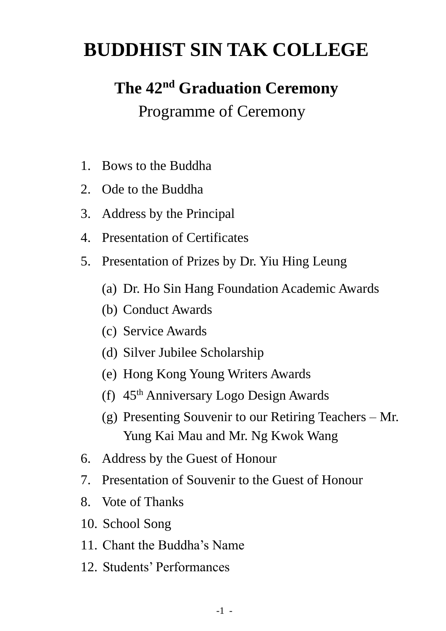# **BUDDHIST SIN TAK COLLEGE**

# **The 42nd Graduation Ceremony**

### Programme of Ceremony

- 1. Bows to the Buddha
- 2. Ode to the Buddha
- 3. Address by the Principal
- 4. Presentation of Certificates
- 5. Presentation of Prizes by Dr. Yiu Hing Leung
	- (a) Dr. Ho Sin Hang Foundation Academic Awards
	- (b) Conduct Awards
	- (c) Service Awards
	- (d) Silver Jubilee Scholarship
	- (e) Hong Kong Young Writers Awards
	- (f) 45th Anniversary Logo Design Awards
	- (g) Presenting Souvenir to our Retiring Teachers Mr. Yung Kai Mau and Mr. Ng Kwok Wang
- 6. Address by the Guest of Honour
- 7. Presentation of Souvenir to the Guest of Honour
- 8. Vote of Thanks
- 10. School Song
- 11. Chant the Buddha's Name
- 12. Students' Performances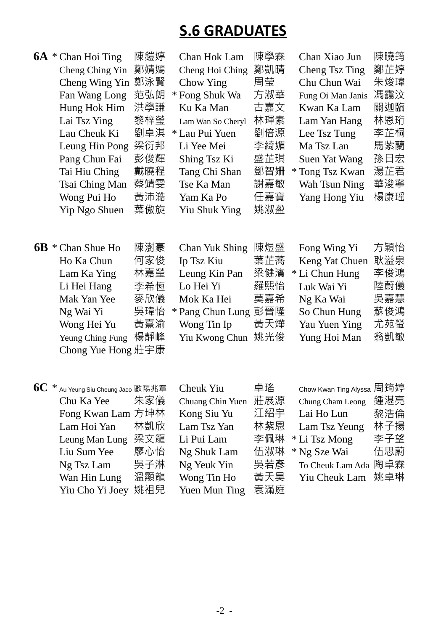## **S.6 GRADUATES**

|    | $6A * Chan Hoi Ting$<br>Cheng Ching Yin<br>Cheng Wing Yin<br>Fan Wang Long<br>Hung Hok Him<br>Lai Tsz Ying<br>Lau Cheuk Ki<br>Leung Hin Pong<br>Pang Chun Fai<br>Tai Hiu Ching<br>Tsai Ching Man<br>Wong Pui Ho<br>Yip Ngo Shuen | 陳鎧婷<br>鄭婧嫣<br>鄭泳賢<br>范弘朗<br>洪學謙<br>黎梓瑩<br>劉卓淇<br>梁衍邦<br>彭俊輝<br>戴曉程<br>蔡靖雯<br>黃沛澔<br>葉傲旋 | Chan Hok Lam<br>Cheng Hoi Ching<br>Chow Ying<br>* Fong Shuk Wa<br>Ku Ka Man<br>Lam Wan So Cheryl<br>* Lau Pui Yuen<br>Li Yee Mei<br>Shing Tsz Ki<br>Tang Chi Shan<br>Tse Ka Man<br>Yam Ka Po<br>Yiu Shuk Ying | 陳學霖<br>鄭凱晴<br>周莹<br>方淑華<br>古嘉文<br>林琿素<br>劉倍源<br>李綺媚<br>盛芷琪<br>鄧智姍<br>謝嘉敏<br>任嘉寶<br>姚淑盈 | Chan Xiao Jun<br>Cheng Tsz Ting<br>Chu Chun Wai<br>Fung Oi Man Janis<br>Kwan Ka Lam<br>Lam Yan Hang<br>Lee Tsz Tung<br>Ma Tsz Lan<br>Suen Yat Wang<br>* Tong Tsz Kwan<br>Wah Tsun Ning<br>Yang Hong Yiu | 陳曉筠<br>鄭芷婷<br>朱焌瑋<br>馮靄汶<br>關迦臨<br>林恩珩<br>李芷桐<br>馬紫蘭<br>孫日宏<br>湯芷君<br>華浚寧<br>楊康瑶 |
|----|----------------------------------------------------------------------------------------------------------------------------------------------------------------------------------------------------------------------------------|-----------------------------------------------------------------------------------------|---------------------------------------------------------------------------------------------------------------------------------------------------------------------------------------------------------------|----------------------------------------------------------------------------------------|---------------------------------------------------------------------------------------------------------------------------------------------------------------------------------------------------------|----------------------------------------------------------------------------------|
| 6B | * Chan Shue Ho<br>Ho Ka Chun<br>Lam Ka Ying<br>Li Hei Hang<br>Mak Yan Yee<br>Ng Wai Yi<br>Wong Hei Yu<br>Yeung Ching Fung<br>Chong Yue Hong 莊宇康                                                                                  | 陳澍豪<br>何家俊<br>林嘉瑩<br>李希恆<br>麥欣儀<br>吳瑋怡<br>黃熹渝<br>楊靜峰                                    | Chan Yuk Shing<br>Ip Tsz Kiu<br>Leung Kin Pan<br>Lo Hei Yi<br>Mok Ka Hei<br>* Pang Chun Lung<br>Wong Tin Ip<br>Yiu Kwong Chun                                                                                 | 陳煜盛<br>葉芷蕎<br>梁健濱<br>羅熙怡<br>莫嘉希<br>彭晉隆<br>黃天燁<br>姚光俊                                   | Fong Wing Yi<br>Keng Yat Chuen<br>* Li Chun Hung<br>Luk Wai Yi<br>Ng Ka Wai<br>So Chun Hung<br>Yau Yuen Ying<br>Yung Hoi Man                                                                            | 方穎怡<br>耿溢泉<br>李俊鴻<br>陸蔚儀<br>吳嘉慧<br>蘇俊鴻<br>尤苑螢<br>翁凱敏                             |
| 6C | $6\mathrm{C}$ $\,^*$ Au Yeung Siu Cheung Jaco 歐陽兆章<br>Chu Ka Yee<br>Fong Kwan Lam 方坤林<br>Lam Hoi Yan<br>Leung Man Lung<br>Liu Sum Yee<br>Ng Tsz Lam<br>Wan Hin Lung<br>Yiu Cho Yi Joey                                           | 朱家儀<br>林凱欣<br>梁文龍<br>廖心怡<br>吳子淋<br>溫顯龍<br>姚祖兒                                           | Cheuk Yiu<br>Chuang Chin Yuen<br>Kong Siu Yu<br>Lam Tsz Yan<br>Li Pui Lam<br>Ng Shuk Lam<br>Ng Yeuk Yin<br>Wong Tin Ho<br>Yuen Mun Ting                                                                       | 卓瑤<br>莊展源<br>江紹宇<br>林紫恩<br>李佩琳<br>伍淑琳<br>吳若彥<br>黃天昊<br>袁滿庭                             | Chow Kwan Ting Alyssa 周筠婷<br>Chung Cham Leong<br>Lai Ho Lun<br>Lam Tsz Yeung<br>* Li Tsz Mong<br>* Ng Sze Wai<br>To Cheuk Lam Ada 陶卓霖<br>Yiu Cheuk Lam                                                  | 鍾湛亮<br>黎浩倫<br>林子揚<br>李子望<br>伍思蔚<br>姚卓琳                                           |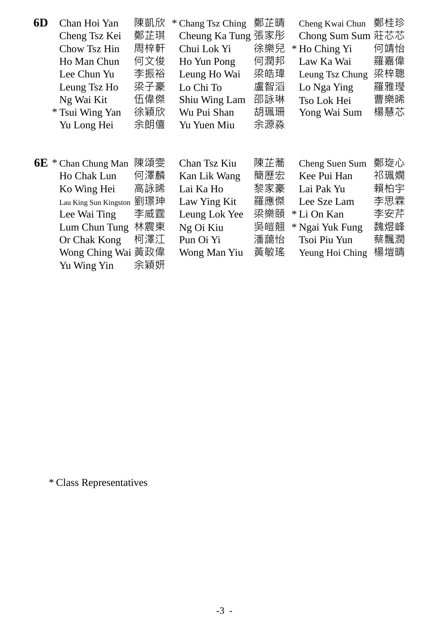| 6D | Chan Hoi Yan          | 陳凱欣 | * Chang Tsz Ching | 鄭芷晴 | Cheng Kwai Chun | 鄭桂珍 |
|----|-----------------------|-----|-------------------|-----|-----------------|-----|
|    | Cheng Tsz Kei         | 鄭芷琪 | Cheung Ka Tung    | 張家彤 | Chong Sum Sum   | 莊芯芯 |
|    | Chow Tsz Hin          | 周梓軒 | Chui Lok Yi       | 徐樂兒 | * Ho Ching Yi   | 何靖怡 |
|    | Ho Man Chun           | 何文俊 | Ho Yun Pong       | 何潤邦 | Law Ka Wai      | 羅嘉偉 |
|    | Lee Chun Yu           | 李振裕 | Leung Ho Wai      | 梁皓瑋 | Leung Tsz Chung | 梁梓聰 |
|    | Leung Tsz Ho          | 梁子豪 | Lo Chi To         | 盧智滔 | Lo Nga Ying     | 羅雅璒 |
|    | Ng Wai Kit            | 伍偉傑 | Shiu Wing Lam     | 邵詠琳 | Tso Lok Hei     | 曹樂晞 |
|    | * Tsui Wing Yan       | 徐穎欣 | Wu Pui Shan       | 胡珮珊 | Yong Wai Sum    | 楊慧芯 |
|    | Yu Long Hei           | 余朗僖 | Yu Yuen Miu       | 余源淼 |                 |     |
|    |                       |     |                   |     |                 |     |
|    |                       |     |                   |     |                 |     |
|    | $6E *$ Chan Chung Man | 陳頌雯 | Chan Tsz Kiu      | 陳芷蕎 | Cheng Suen Sum  | 鄭琁心 |
|    | Ho Chak Lun           | 何澤麟 | Kan Lik Wang      | 簡歷宏 | Kee Pui Han     | 祁珮嫻 |
|    | Ko Wing Hei           | 高詠晞 | Lai Ka Ho         | 黎家豪 | Lai Pak Yu      | 賴柏宇 |
|    | Lau King Sun Kingston | 劉璟珅 | Law Ying Kit      | 羅應傑 | Lee Sze Lam     | 李思霖 |
|    | Lee Wai Ting          | 李威霆 | Leung Lok Yee     | 梁樂頤 | * Li On Kan     | 李安芹 |
|    | Lum Chun Tung         | 林震東 | Ng Oi Kiu         | 吳皚翹 | * Ngai Yuk Fung | 魏煜峰 |
|    | Or Chak Kong          | 柯澤江 | Pun Oi Yi         | 潘藹怡 | Tsoi Piu Yun    | 蔡飄潤 |
|    | Wong Ching Wai 黃政偉    |     | Wong Man Yiu      | 黃敏瑤 | Yeung Hoi Ching | 楊塏晴 |
|    | Yu Wing Yin           | 余穎妍 |                   |     |                 |     |

\* Class Representatives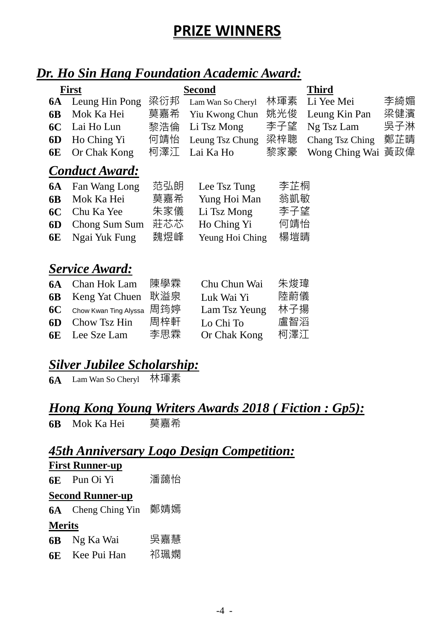## **PRIZE WINNERS**

### *Dr. Ho Sin Hang Foundation Academic Award:*

| <b>First</b> |                       | <b>Second</b> |                   |     | <b>Third</b>    |     |
|--------------|-----------------------|---------------|-------------------|-----|-----------------|-----|
| <b>6A</b>    | Leung Hin Pong        | 梁衍邦           | Lam Wan So Cheryl | 林琿素 | Li Yee Mei      | 李綺媚 |
| 6 <b>B</b>   | Mok Ka Hei            | 莫嘉希           | Yiu Kwong Chun    | 姚光俊 | Leung Kin Pan   | 梁健濱 |
| 6C           | Lai Ho Lun            | 黎浩倫           | Li Tsz Mong       | 李子望 | Ng Tsz Lam      | 吳子淋 |
| 6D           | Ho Ching Yi           | 何靖怡           | Leung Tsz Chung   | 梁梓聰 | Chang Tsz Ching | 鄭芷晴 |
| 6E           | Or Chak Kong          | 柯澤江           | Lai Ka Ho         | 黎家豪 | Wong Ching Wai  | 黃政偉 |
|              | <b>Conduct Award:</b> |               |                   |     |                 |     |
| <b>6A</b>    | Fan Wang Long         | 范弘朗           | Lee Tsz Tung      | 李芷桐 |                 |     |
| <b>6B</b>    | Mok Ka Hei            | 莫嘉希           | Yung Hoi Man      | 翁凱敏 |                 |     |
| <b>6C</b>    | Chu Ka Yee            | 朱家儀           | Li Tsz Mong       | 李子望 |                 |     |
| 6D           | Chong Sum Sum         | 莊芯芯           | Ho Ching Yi       | 何靖怡 |                 |     |
| 6E           | Ngai Yuk Fung         | 魏煜峰           | Yeung Hoi Ching   | 楊塏晴 |                 |     |
|              |                       |               |                   |     |                 |     |
|              | <b>Service Award:</b> |               |                   |     |                 |     |
| <b>6A</b>    | Chan Hok Lam          | 陳學霖           | Chu Chun Wai      | 朱焌瑋 |                 |     |
| 6 <b>B</b>   | Keng Yat Chuen        | 耿溢泉           | Luk Wai Yi        | 陸蔚儀 |                 |     |
| <b>6C</b>    | Chow Kwan Ting Alyssa | 周筠婷           | Lam Tsz Yeung     | 林子揚 |                 |     |
| 6D           | Chow Tsz Hin          | 周梓軒           | Lo Chi To         | 盧智滔 |                 |     |
| 6E           | Lee Sze Lam           | 李思霖           | Or Chak Kong      | 柯澤江 |                 |     |

### *Silver Jubilee Scholarship:*

**6A** Lam Wan So Cheryl 林琿素

#### *Hong Kong Young Writers Awards 2018 ( Fiction : Gp5):*

**6B** Mok Ka Hei 莫嘉希

### *45th Anniversary Logo Design Competition:*

| <b>First Runner-up</b> |                         |     |  |  |
|------------------------|-------------------------|-----|--|--|
|                        | <b>6E</b> Pun Oi Yi     | 潘藹怡 |  |  |
|                        | <b>Second Runner-up</b> |     |  |  |
| 6A -                   | Cheng Ching Yin         | 鄭婧嫣 |  |  |
| <b>Merits</b>          |                         |     |  |  |
| 6B —                   | Ng Ka Wai               | 吳嘉慧 |  |  |
| 6F.                    | Kee Pui Han             | 祁珮嫻 |  |  |
|                        |                         |     |  |  |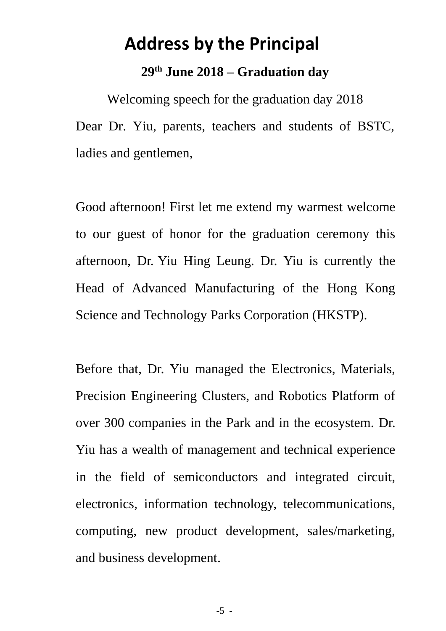## **Address by the Principal**

#### **29th June 2018 – Graduation day**

Welcoming speech for the graduation day 2018 Dear Dr. Yiu, parents, teachers and students of BSTC, ladies and gentlemen,

Good afternoon! First let me extend my warmest welcome to our guest of honor for the graduation ceremony this afternoon, Dr. Yiu Hing Leung. Dr. Yiu is currently the Head of Advanced Manufacturing of the Hong Kong Science and Technology Parks Corporation (HKSTP).

Before that, Dr. Yiu managed the Electronics, Materials, Precision Engineering Clusters, and Robotics Platform of over 300 companies in the Park and in the ecosystem. Dr. Yiu has a wealth of management and technical experience in the field of semiconductors and integrated circuit, electronics, information technology, telecommunications, computing, new product development, sales/marketing, and business development.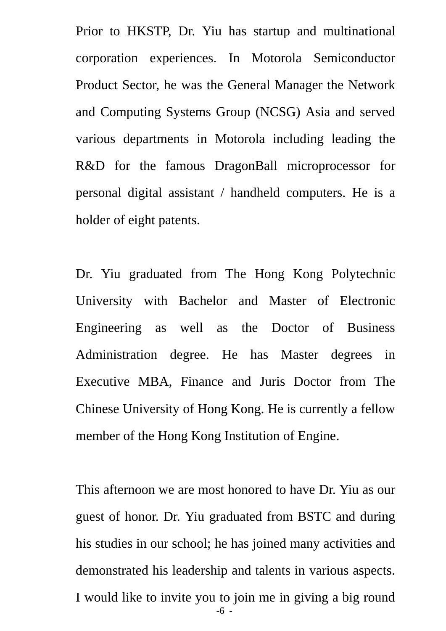Prior to HKSTP, Dr. Yiu has startup and multinational corporation experiences. In Motorola Semiconductor Product Sector, he was the General Manager the Network and Computing Systems Group (NCSG) Asia and served various departments in Motorola including leading the R&D for the famous DragonBall microprocessor for personal digital assistant / handheld computers. He is a holder of eight patents.

Dr. Yiu graduated from The Hong Kong Polytechnic University with Bachelor and Master of Electronic Engineering as well as the Doctor of Business Administration degree. He has Master degrees in Executive MBA, Finance and Juris Doctor from The Chinese University of Hong Kong. He is currently a fellow member of the Hong Kong Institution of Engine.

-6 - This afternoon we are most honored to have Dr. Yiu as our guest of honor. Dr. Yiu graduated from BSTC and during his studies in our school; he has joined many activities and demonstrated his leadership and talents in various aspects. I would like to invite you to join me in giving a big round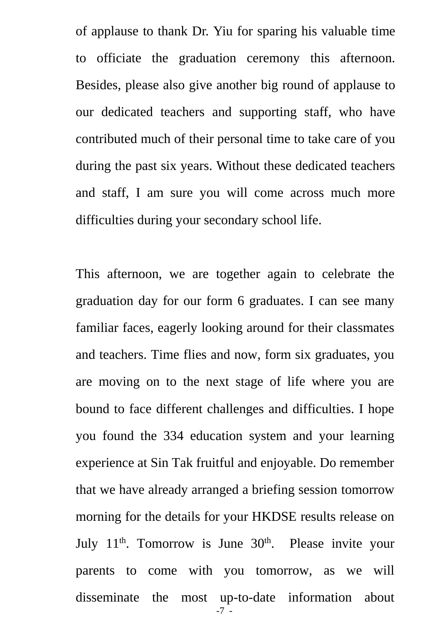of applause to thank Dr. Yiu for sparing his valuable time to officiate the graduation ceremony this afternoon. Besides, please also give another big round of applause to our dedicated teachers and supporting staff, who have contributed much of their personal time to take care of you during the past six years. Without these dedicated teachers and staff, I am sure you will come across much more difficulties during your secondary school life.

-7 - This afternoon, we are together again to celebrate the graduation day for our form 6 graduates. I can see many familiar faces, eagerly looking around for their classmates and teachers. Time flies and now, form six graduates, you are moving on to the next stage of life where you are bound to face different challenges and difficulties. I hope you found the 334 education system and your learning experience at Sin Tak fruitful and enjoyable. Do remember that we have already arranged a briefing session tomorrow morning for the details for your HKDSE results release on July  $11<sup>th</sup>$ . Tomorrow is June  $30<sup>th</sup>$ . Please invite your parents to come with you tomorrow, as we will disseminate the most up-to-date information about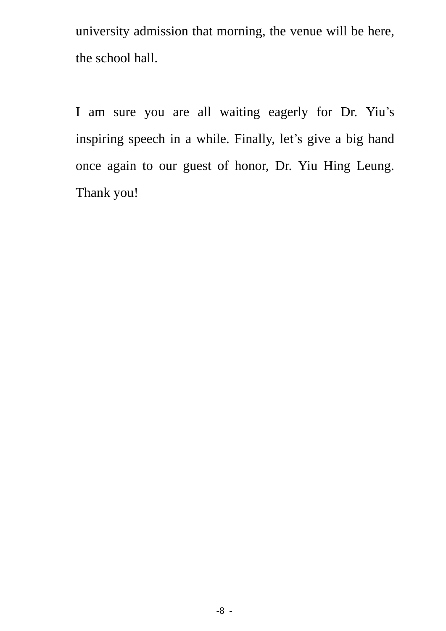university admission that morning, the venue will be here, the school hall.

I am sure you are all waiting eagerly for Dr. Yiu's inspiring speech in a while. Finally, let's give a big hand once again to our guest of honor, Dr. Yiu Hing Leung. Thank you!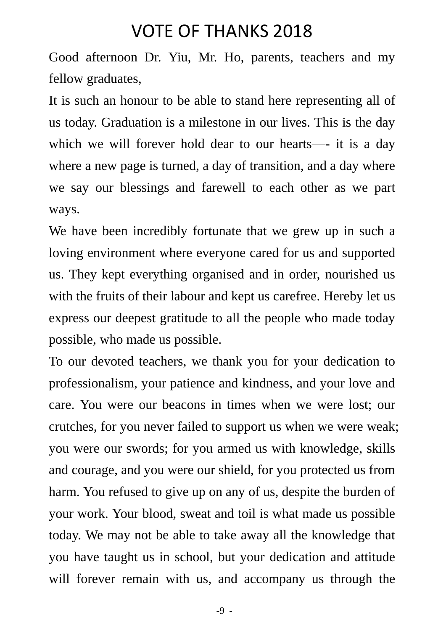### VOTE OF THANKS 2018

Good afternoon Dr. Yiu, Mr. Ho, parents, teachers and my fellow graduates,

It is such an honour to be able to stand here representing all of us today. Graduation is a milestone in our lives. This is the day which we will forever hold dear to our hearts—- it is a day where a new page is turned, a day of transition, and a day where we say our blessings and farewell to each other as we part ways.

We have been incredibly fortunate that we grew up in such a loving environment where everyone cared for us and supported us. They kept everything organised and in order, nourished us with the fruits of their labour and kept us carefree. Hereby let us express our deepest gratitude to all the people who made today possible, who made us possible.

To our devoted teachers, we thank you for your dedication to professionalism, your patience and kindness, and your love and care. You were our beacons in times when we were lost; our crutches, for you never failed to support us when we were weak; you were our swords; for you armed us with knowledge, skills and courage, and you were our shield, for you protected us from harm. You refused to give up on any of us, despite the burden of your work. Your blood, sweat and toil is what made us possible today. We may not be able to take away all the knowledge that you have taught us in school, but your dedication and attitude will forever remain with us, and accompany us through the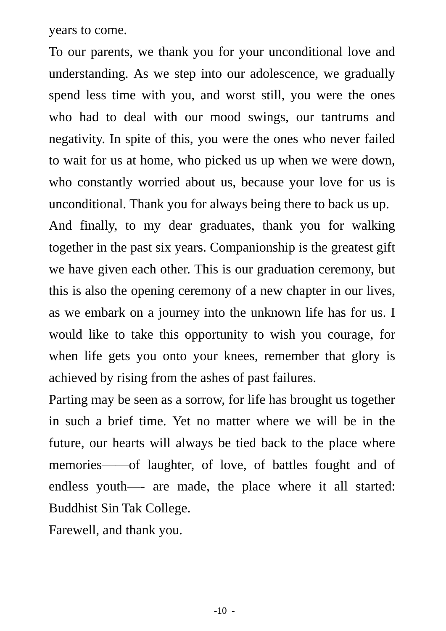years to come.

To our parents, we thank you for your unconditional love and understanding. As we step into our adolescence, we gradually spend less time with you, and worst still, you were the ones who had to deal with our mood swings, our tantrums and negativity. In spite of this, you were the ones who never failed to wait for us at home, who picked us up when we were down, who constantly worried about us, because your love for us is unconditional. Thank you for always being there to back us up. And finally, to my dear graduates, thank you for walking together in the past six years. Companionship is the greatest gift we have given each other. This is our graduation ceremony, but this is also the opening ceremony of a new chapter in our lives, as we embark on a journey into the unknown life has for us. I would like to take this opportunity to wish you courage, for when life gets you onto your knees, remember that glory is achieved by rising from the ashes of past failures.

Parting may be seen as a sorrow, for life has brought us together in such a brief time. Yet no matter where we will be in the future, our hearts will always be tied back to the place where memories——of laughter, of love, of battles fought and of endless youth—- are made, the place where it all started: Buddhist Sin Tak College.

Farewell, and thank you.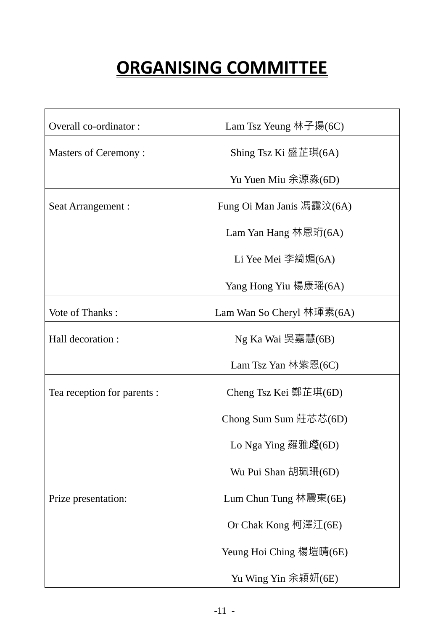# **ORGANISING COMMITTEE**

| Overall co-ordinator:       | Lam Tsz Yeung 林子揚(6C)     |  |  |
|-----------------------------|---------------------------|--|--|
| <b>Masters of Ceremony:</b> | Shing Tsz Ki 盛芷琪(6A)      |  |  |
|                             | Yu Yuen Miu 余源淼(6D)       |  |  |
| Seat Arrangement :          | Fung Oi Man Janis 馮靄汶(6A) |  |  |
|                             | Lam Yan Hang 林恩珩(6A)      |  |  |
|                             |                           |  |  |
|                             | Li Yee Mei 李綺媚 $(6A)$     |  |  |
|                             | Yang Hong Yiu 楊康瑶(6A)     |  |  |
| Vote of Thanks:             | Lam Wan So Cheryl 林琿素(6A) |  |  |
| Hall decoration :           | Ng Ka Wai 吳嘉慧(6B)         |  |  |
|                             | Lam Tsz Yan 林紫恩(6C)       |  |  |
| Tea reception for parents : | Cheng Tsz Kei 鄭芷琪(6D)     |  |  |
|                             | Chong Sum Sum 莊芯芯(6D)     |  |  |
|                             | Lo Nga Ying 羅雅璒(6D)       |  |  |
|                             | Wu Pui Shan 胡珮珊(6D)       |  |  |
| Prize presentation:         | Lum Chun Tung 林震東( $6E$ ) |  |  |
|                             | Or Chak Kong 柯澤江(6E)      |  |  |
|                             | Yeung Hoi Ching 楊塏晴(6E)   |  |  |
|                             | Yu Wing Yin 余穎妍(6E)       |  |  |